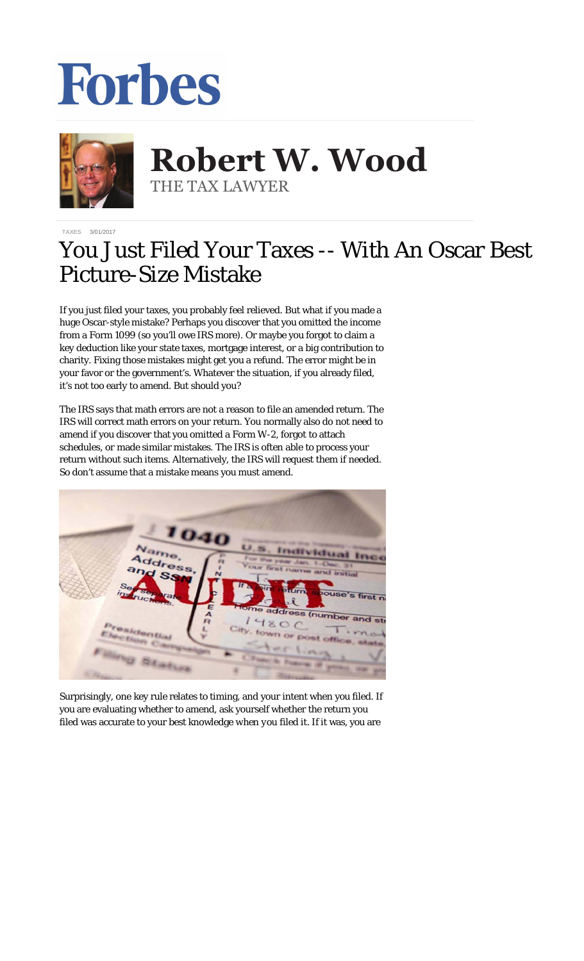## Forbes



**Robert W. Wood Robert W. Wood** THE TAX LAWYER THE TAX LAWYER

**[TAXES](https://www.forbes.com/taxes)** 3/01/2017

## You Just Filed Your Taxes -- With An Oscar Best Picture-Size Mistake

If you just filed your taxes, you probably feel relieved. But what if you made a huge Oscar-style mistake? Perhaps you discover that you omitted the income from a Form 1099 (so you'll owe IRS more). Or maybe you forgot to claim a key deduction like your state taxes, mortgage interest, or a big contribution to charity. Fixing those mistakes might get you a refund. The error might be in your favor or the government's. Whatever the situation, if you already filed, it's not too early to amend. But *should* you?

The IRS says that math errors are not a reason to file an amended return. The IRS will correct math errors on your return. You normally also do not need to amend if you discover that you omitted a Form W-2, forgot to attach schedules, or made similar mistakes. The IRS is often able to process your return without such items. Alternatively, the IRS will request them if needed. So don't assume that a mistake means you *must* amend.



Surprisingly, one key rule relates to timing, and your intent when you filed. If you are evaluating whether to amend, ask yourself whether the return you filed was accurate to your best knowledge *when you filed it*. If it was, you are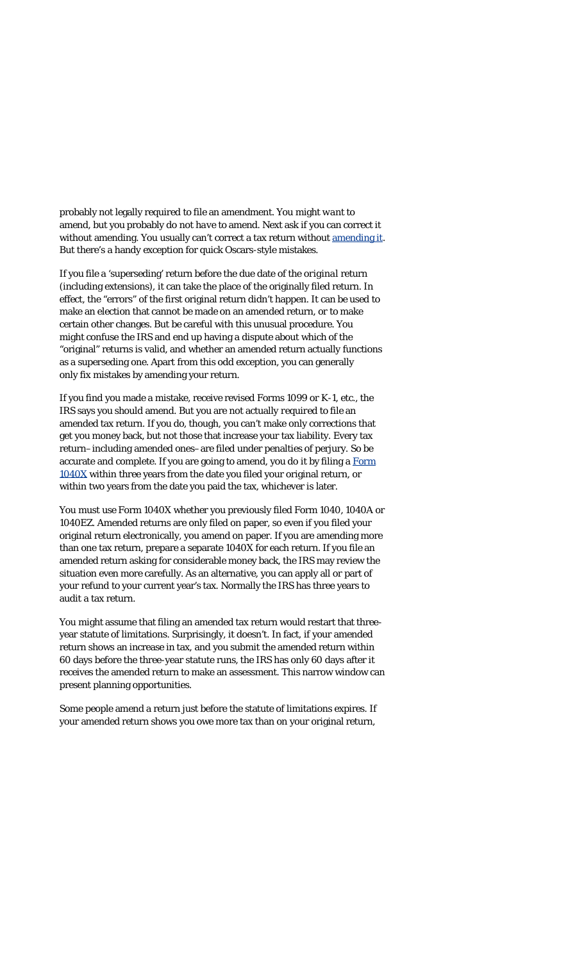probably not legally required to file an amendment. You might *want* to amend, but you probably do not *have* to amend. Next ask if you can correct it without amending. You usually can't correct a tax return without [amending it](http://www.forbes.com/2010/05/28/10-tips-amended-tax-returns-irs-personal-finance-robert-wood.html). But there's a handy exception for quick Oscars-style mistakes.

If you file a 'superseding' return before the due date of the *original* return (including extensions), it can take the place of the originally filed return. In effect, the "errors" of the first original return didn't happen. It can be used to make an election that cannot be made on an amended return, or to make certain other changes. But be careful with this unusual procedure. You might confuse the IRS and end up having a dispute about which of the "original" returns is valid, and whether an amended return actually functions as a superseding one. Apart from this odd exception, you can generally only fix mistakes by amending your return.

If you find you made a mistake, receive revised Forms 1099 or K-1, etc., the IRS says you *should* amend. But you are not actually *required* to file an amended tax return. If you do, though, you can't make only corrections that get you money back, but not those that increase your tax liability. Every tax return–including amended ones–are filed under penalties of perjury. So be accurate and complete. If you are going to amend, you do it by filing a [Form](http://www.irs.gov/pub/irs-pdf/f1040x.pdf) [1040X](http://www.irs.gov/pub/irs-pdf/f1040x.pdf) within three years from the date you filed your original return, or within two years from the date you paid the tax, whichever is later.

You must use Form 1040X whether you previously filed Form 1040, 1040A or 1040EZ. Amended returns are only filed on paper, so even if you filed your original return electronically, you amend on paper. If you are amending more than one tax return, prepare a separate 1040X for each return. If you file an amended return asking for considerable money back, the IRS may review the situation even more carefully. As an alternative, you can apply all or part of your refund to your current year's tax. Normally the IRS has three years to audit a tax return.

You might assume that filing an amended tax return would restart that threeyear statute of limitations. Surprisingly, it doesn't. In fact, if your amended return shows an increase in tax, and you submit the amended return within 60 days before the three-year statute runs, the IRS has only 60 days after it receives the amended return to make an assessment. This narrow window can present planning opportunities.

Some people amend a return just before the statute of limitations expires. If your amended return shows you owe more tax than on your original return,